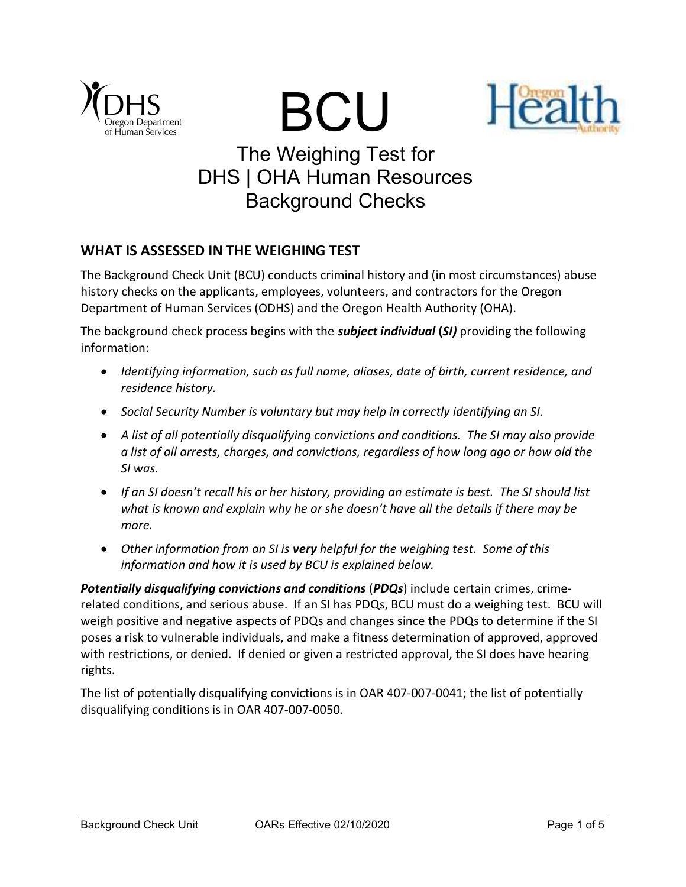





# The Weighing Test for DHS | OHA Human Resources Background Checks

# WHAT IS ASSESSED IN THE WEIGHING TEST

The Background Check Unit (BCU) conducts criminal history and (in most circumstances) abuse history checks on the applicants, employees, volunteers, and contractors for the Oregon Department of Human Services (ODHS) and the Oregon Health Authority (OHA).

The background check process begins with the **subject individual (SI)** providing the following information:

- Identifying information, such as full name, aliases, date of birth, current residence, and residence history.
- Social Security Number is voluntary but may help in correctly identifying an SI.
- A list of all potentially disqualifying convictions and conditions. The SI may also provide a list of all arrests, charges, and convictions, regardless of how long ago or how old the SI was.
- If an SI doesn't recall his or her history, providing an estimate is best. The SI should list what is known and explain why he or she doesn't have all the details if there may be more.
- Other information from an SI is very helpful for the weighing test. Some of this information and how it is used by BCU is explained below.

Potentially disqualifying convictions and conditions (PDQs) include certain crimes, crimerelated conditions, and serious abuse. If an SI has PDQs, BCU must do a weighing test. BCU will weigh positive and negative aspects of PDQs and changes since the PDQs to determine if the SI poses a risk to vulnerable individuals, and make a fitness determination of approved, approved with restrictions, or denied. If denied or given a restricted approval, the SI does have hearing rights.

The list of potentially disqualifying convictions is in OAR 407-007-0041; the list of potentially disqualifying conditions is in OAR 407-007-0050.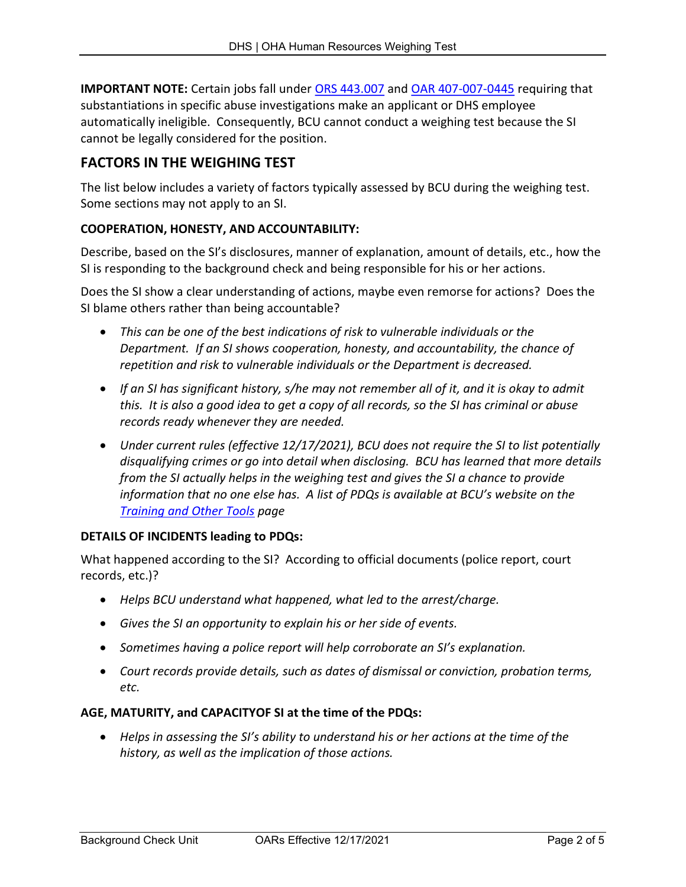IMPORTANT NOTE: Certain jobs fall under ORS 443.007 and OAR 407-007-0445 requiring that substantiations in specific abuse investigations make an applicant or DHS employee automatically ineligible. Consequently, BCU cannot conduct a weighing test because the SI cannot be legally considered for the position.

# FACTORS IN THE WEIGHING TEST

The list below includes a variety of factors typically assessed by BCU during the weighing test. Some sections may not apply to an SI.

## COOPERATION, HONESTY, AND ACCOUNTABILITY:

Describe, based on the SI's disclosures, manner of explanation, amount of details, etc., how the SI is responding to the background check and being responsible for his or her actions.

Does the SI show a clear understanding of actions, maybe even remorse for actions? Does the SI blame others rather than being accountable?

- This can be one of the best indications of risk to vulnerable individuals or the Department. If an SI shows cooperation, honesty, and accountability, the chance of repetition and risk to vulnerable individuals or the Department is decreased.
- If an SI has significant history, s/he may not remember all of it, and it is okay to admit this. It is also a good idea to get a copy of all records, so the SI has criminal or abuse records ready whenever they are needed.
- Under current rules (effective 12/17/2021), BCU does not require the SI to list potentially disqualifying crimes or go into detail when disclosing. BCU has learned that more details from the SI actually helps in the weighing test and gives the SI a chance to provide information that no one else has. A list of PDQs is available at BCU's website on the Training and Other Tools page

## DETAILS OF INCIDENTS leading to PDQs:

What happened according to the SI? According to official documents (police report, court records, etc.)?

- Helps BCU understand what happened, what led to the arrest/charge.
- Gives the SI an opportunity to explain his or her side of events.
- Sometimes having a police report will help corroborate an SI's explanation.
- Court records provide details, such as dates of dismissal or conviction, probation terms, etc.

## AGE, MATURITY, and CAPACITYOF SI at the time of the PDQs:

 Helps in assessing the SI's ability to understand his or her actions at the time of the history, as well as the implication of those actions.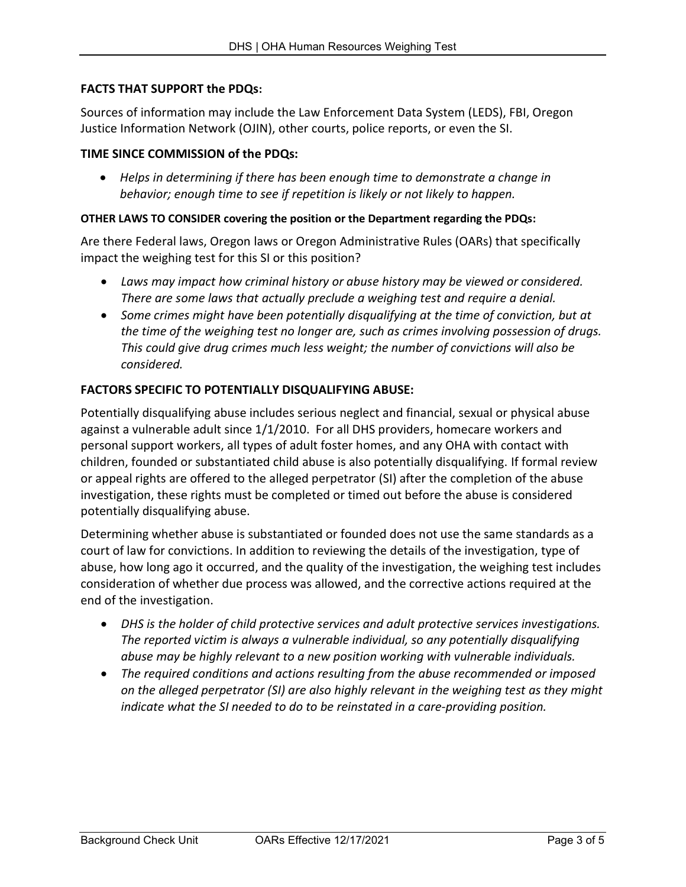# FACTS THAT SUPPORT the PDQs:

Sources of information may include the Law Enforcement Data System (LEDS), FBI, Oregon Justice Information Network (OJIN), other courts, police reports, or even the SI.

## TIME SINCE COMMISSION of the PDQs:

 Helps in determining if there has been enough time to demonstrate a change in behavior; enough time to see if repetition is likely or not likely to happen.

#### OTHER LAWS TO CONSIDER covering the position or the Department regarding the PDQs:

Are there Federal laws, Oregon laws or Oregon Administrative Rules (OARs) that specifically impact the weighing test for this SI or this position?

- Laws may impact how criminal history or abuse history may be viewed or considered. There are some laws that actually preclude a weighing test and require a denial.
- Some crimes might have been potentially disqualifying at the time of conviction, but at the time of the weighing test no longer are, such as crimes involving possession of drugs. This could give drug crimes much less weight; the number of convictions will also be considered.

## FACTORS SPECIFIC TO POTENTIALLY DISQUALIFYING ABUSE:

Potentially disqualifying abuse includes serious neglect and financial, sexual or physical abuse against a vulnerable adult since 1/1/2010. For all DHS providers, homecare workers and personal support workers, all types of adult foster homes, and any OHA with contact with children, founded or substantiated child abuse is also potentially disqualifying. If formal review or appeal rights are offered to the alleged perpetrator (SI) after the completion of the abuse investigation, these rights must be completed or timed out before the abuse is considered potentially disqualifying abuse.

Determining whether abuse is substantiated or founded does not use the same standards as a court of law for convictions. In addition to reviewing the details of the investigation, type of abuse, how long ago it occurred, and the quality of the investigation, the weighing test includes consideration of whether due process was allowed, and the corrective actions required at the end of the investigation.

- DHS is the holder of child protective services and adult protective services investigations. The reported victim is always a vulnerable individual, so any potentially disqualifying abuse may be highly relevant to a new position working with vulnerable individuals.
- The required conditions and actions resulting from the abuse recommended or imposed on the alleged perpetrator (SI) are also highly relevant in the weighing test as they might indicate what the SI needed to do to be reinstated in a care-providing position.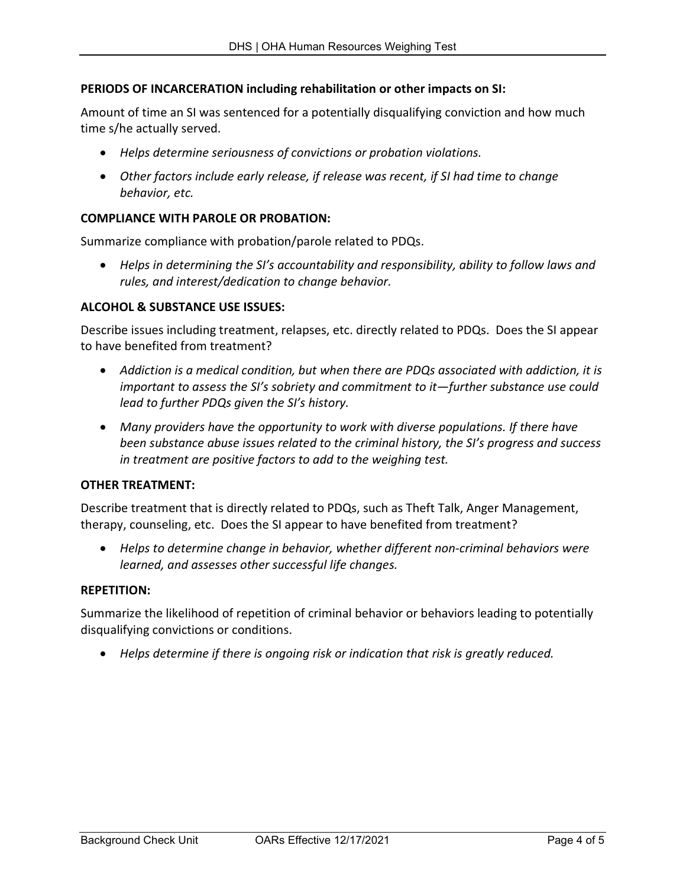# PERIODS OF INCARCERATION including rehabilitation or other impacts on SI:

Amount of time an SI was sentenced for a potentially disqualifying conviction and how much time s/he actually served.

- Helps determine seriousness of convictions or probation violations.
- Other factors include early release, if release was recent, if SI had time to change behavior, etc.

## COMPLIANCE WITH PAROLE OR PROBATION:

Summarize compliance with probation/parole related to PDQs.

 Helps in determining the SI's accountability and responsibility, ability to follow laws and rules, and interest/dedication to change behavior.

#### ALCOHOL & SUBSTANCE USE ISSUES:

Describe issues including treatment, relapses, etc. directly related to PDQs. Does the SI appear to have benefited from treatment?

- Addiction is a medical condition, but when there are PDQs associated with addiction, it is important to assess the SI's sobriety and commitment to it—further substance use could lead to further PDQs given the SI's history.
- Many providers have the opportunity to work with diverse populations. If there have been substance abuse issues related to the criminal history, the SI's progress and success in treatment are positive factors to add to the weighing test.

#### OTHER TREATMENT:

Describe treatment that is directly related to PDQs, such as Theft Talk, Anger Management, therapy, counseling, etc. Does the SI appear to have benefited from treatment?

 Helps to determine change in behavior, whether different non-criminal behaviors were learned, and assesses other successful life changes.

#### REPETITION:

Summarize the likelihood of repetition of criminal behavior or behaviors leading to potentially disqualifying convictions or conditions.

Helps determine if there is ongoing risk or indication that risk is greatly reduced.